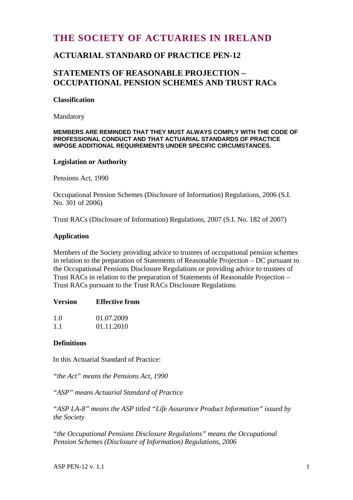# **THE SOCIETY OF ACTUARIES IN IRELAND**

# **ACTUARIAL STANDARD OF PRACTICE PEN-12**

## **STATEMENTS OF REASONABLE PROJECTION – OCCUPATIONAL PENSION SCHEMES AND TRUST RACs**

#### **Classification**

Mandatory

#### **MEMBERS ARE REMINDED THAT THEY MUST ALWAYS COMPLY WITH THE CODE OF PROFESSIONAL CONDUCT AND THAT ACTUARIAL STANDARDS OF PRACTICE IMPOSE ADDITIONAL REQUIREMENTS UNDER SPECIFIC CIRCUMSTANCES.**

### **Legislation or Authority**

Pensions Act, 1990

Occupational Pension Schemes (Disclosure of Information) Regulations, 2006 (S.I. No. 301 of 2006)

Trust RACs (Disclosure of Information) Regulations, 2007 (S.I. No. 182 of 2007)

### **Application**

Members of the Society providing advice to trustees of occupational pension schemes in relation to the preparation of Statements of Reasonable Projection – DC pursuant to the Occupational Pensions Disclosure Regulations or providing advice to trustees of Trust RACs in relation to the preparation of Statements of Reasonable Projection – Trust RACs pursuant to the Trust RACs Disclosure Regulations

| <b>Version</b> | <b>Effective from</b> |
|----------------|-----------------------|
|                |                       |

| 1.0 | 01.07.2009 |
|-----|------------|
| 1.1 | 01.11.2010 |

### **Definitions**

In this Actuarial Standard of Practice:

*"the Act" means the Pensions Act, 1990* 

*"ASP" means Actuarial Standard of Practice* 

*"ASP LA-8" means the ASP titled "Life Assurance Product Information" issued by the Society* 

*"the Occupational Pensions Disclosure Regulations" means the Occupational Pension Schemes (Disclosure of Information) Regulations, 2006* 

 $\Delta$ SP PEN-12 v. 1.1 1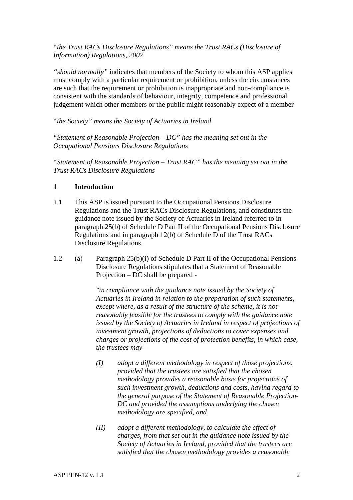*"the Trust RACs Disclosure Regulations" means the Trust RACs (Disclosure of Information) Regulations, 2007* 

*"should normally"* indicates that members of the Society to whom this ASP applies must comply with a particular requirement or prohibition, unless the circumstances are such that the requirement or prohibition is inappropriate and non-compliance is consistent with the standards of behaviour, integrity, competence and professional judgement which other members or the public might reasonably expect of a member

*"the Society" means the Society of Actuaries in Ireland* 

*"Statement of Reasonable Projection – DC" has the meaning set out in the Occupational Pensions Disclosure Regulations* 

*"Statement of Reasonable Projection – Trust RAC" has the meaning set out in the Trust RACs Disclosure Regulations* 

### **1 Introduction**

- 1.1 This ASP is issued pursuant to the Occupational Pensions Disclosure Regulations and the Trust RACs Disclosure Regulations, and constitutes the guidance note issued by the Society of Actuaries in Ireland referred to in paragraph 25(b) of Schedule D Part II of the Occupational Pensions Disclosure Regulations and in paragraph 12(b) of Schedule D of the Trust RACs Disclosure Regulations.
- 1.2 (a) Paragraph 25(b)(i) of Schedule D Part II of the Occupational Pensions Disclosure Regulations stipulates that a Statement of Reasonable Projection – DC shall be prepared -

 *"in compliance with the guidance note issued by the Society of Actuaries in Ireland in relation to the preparation of such statements, except where, as a result of the structure of the scheme, it is not reasonably feasible for the trustees to comply with the guidance note issued by the Society of Actuaries in Ireland in respect of projections of investment growth, projections of deductions to cover expenses and charges or projections of the cost of protection benefits, in which case, the trustees may –* 

- *(I) adopt a different methodology in respect of those projections, provided that the trustees are satisfied that the chosen methodology provides a reasonable basis for projections of such investment growth, deductions and costs, having regard to the general purpose of the Statement of Reasonable Projection-DC and provided the assumptions underlying the chosen methodology are specified, and*
- *(II) adopt a different methodology, to calculate the effect of charges, from that set out in the guidance note issued by the Society of Actuaries in Ireland, provided that the trustees are satisfied that the chosen methodology provides a reasonable*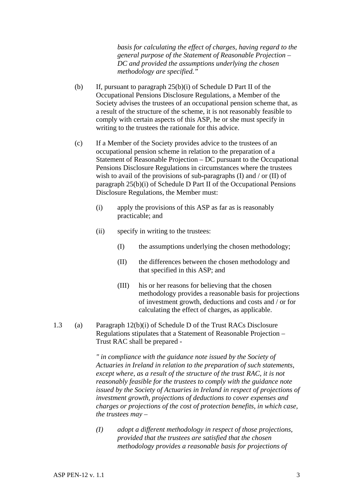*basis for calculating the effect of charges, having regard to the general purpose of the Statement of Reasonable Projection – DC and provided the assumptions underlying the chosen methodology are specified."* 

- (b) If, pursuant to paragraph 25(b)(i) of Schedule D Part II of the Occupational Pensions Disclosure Regulations, a Member of the Society advises the trustees of an occupational pension scheme that, as a result of the structure of the scheme, it is not reasonably feasible to comply with certain aspects of this ASP, he or she must specify in writing to the trustees the rationale for this advice.
- (c) If a Member of the Society provides advice to the trustees of an occupational pension scheme in relation to the preparation of a Statement of Reasonable Projection – DC pursuant to the Occupational Pensions Disclosure Regulations in circumstances where the trustees wish to avail of the provisions of sub-paragraphs  $(I)$  and  $/$  or  $(II)$  of paragraph 25(b)(i) of Schedule D Part II of the Occupational Pensions Disclosure Regulations, the Member must:
	- (i) apply the provisions of this ASP as far as is reasonably practicable; and
	- (ii) specify in writing to the trustees:
		- (I) the assumptions underlying the chosen methodology;
		- (II) the differences between the chosen methodology and that specified in this ASP; and
		- (III) his or her reasons for believing that the chosen methodology provides a reasonable basis for projections of investment growth, deductions and costs and / or for calculating the effect of charges, as applicable.
- 1.3 (a) Paragraph 12(b)(i) of Schedule D of the Trust RACs Disclosure Regulations stipulates that a Statement of Reasonable Projection – Trust RAC shall be prepared -

 *" in compliance with the guidance note issued by the Society of Actuaries in Ireland in relation to the preparation of such statements, except where, as a result of the structure of the trust RAC, it is not reasonably feasible for the trustees to comply with the guidance note issued by the Society of Actuaries in Ireland in respect of projections of investment growth, projections of deductions to cover expenses and charges or projections of the cost of protection benefits, in which case, the trustees may –* 

 *(I) adopt a different methodology in respect of those projections, provided that the trustees are satisfied that the chosen methodology provides a reasonable basis for projections of*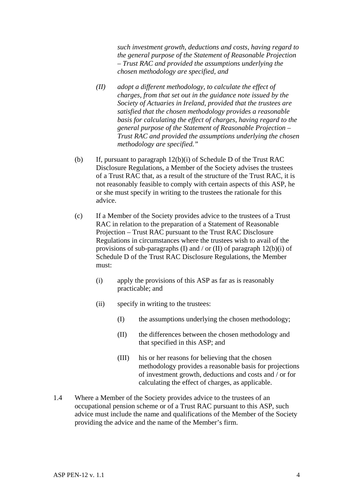*such investment growth, deductions and costs, having regard to the general purpose of the Statement of Reasonable Projection – Trust RAC and provided the assumptions underlying the chosen methodology are specified, and* 

- *(II) adopt a different methodology, to calculate the effect of charges, from that set out in the guidance note issued by the Society of Actuaries in Ireland, provided that the trustees are satisfied that the chosen methodology provides a reasonable basis for calculating the effect of charges, having regard to the general purpose of the Statement of Reasonable Projection – Trust RAC and provided the assumptions underlying the chosen methodology are specified."*
- (b) If, pursuant to paragraph 12(b)(i) of Schedule D of the Trust RAC Disclosure Regulations, a Member of the Society advises the trustees of a Trust RAC that, as a result of the structure of the Trust RAC, it is not reasonably feasible to comply with certain aspects of this ASP, he or she must specify in writing to the trustees the rationale for this advice.
- (c) If a Member of the Society provides advice to the trustees of a Trust RAC in relation to the preparation of a Statement of Reasonable Projection – Trust RAC pursuant to the Trust RAC Disclosure Regulations in circumstances where the trustees wish to avail of the provisions of sub-paragraphs (I) and / or (II) of paragraph  $12(b)(i)$  of Schedule D of the Trust RAC Disclosure Regulations, the Member must:
	- (i) apply the provisions of this ASP as far as is reasonably practicable; and
	- (ii) specify in writing to the trustees:
		- (I) the assumptions underlying the chosen methodology;
		- (II) the differences between the chosen methodology and that specified in this ASP; and
		- (III) his or her reasons for believing that the chosen methodology provides a reasonable basis for projections of investment growth, deductions and costs and / or for calculating the effect of charges, as applicable.
- 1.4 Where a Member of the Society provides advice to the trustees of an occupational pension scheme or of a Trust RAC pursuant to this ASP, such advice must include the name and qualifications of the Member of the Society providing the advice and the name of the Member's firm.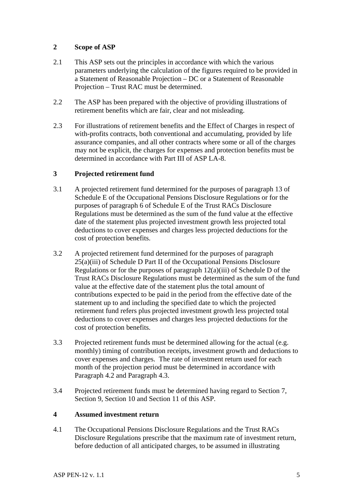### **2 Scope of ASP**

- 2.1 This ASP sets out the principles in accordance with which the various parameters underlying the calculation of the figures required to be provided in a Statement of Reasonable Projection – DC or a Statement of Reasonable Projection – Trust RAC must be determined.
- 2.2 The ASP has been prepared with the objective of providing illustrations of retirement benefits which are fair, clear and not misleading.
- 2.3 For illustrations of retirement benefits and the Effect of Charges in respect of with-profits contracts, both conventional and accumulating, provided by life assurance companies, and all other contracts where some or all of the charges may not be explicit, the charges for expenses and protection benefits must be determined in accordance with Part III of ASP LA-8.

### **3 Projected retirement fund**

- 3.1 A projected retirement fund determined for the purposes of paragraph 13 of Schedule E of the Occupational Pensions Disclosure Regulations or for the purposes of paragraph 6 of Schedule E of the Trust RACs Disclosure Regulations must be determined as the sum of the fund value at the effective date of the statement plus projected investment growth less projected total deductions to cover expenses and charges less projected deductions for the cost of protection benefits.
- 3.2 A projected retirement fund determined for the purposes of paragraph 25(a)(iii) of Schedule D Part II of the Occupational Pensions Disclosure Regulations or for the purposes of paragraph 12(a)(iii) of Schedule D of the Trust RACs Disclosure Regulations must be determined as the sum of the fund value at the effective date of the statement plus the total amount of contributions expected to be paid in the period from the effective date of the statement up to and including the specified date to which the projected retirement fund refers plus projected investment growth less projected total deductions to cover expenses and charges less projected deductions for the cost of protection benefits.
- 3.3 Projected retirement funds must be determined allowing for the actual (e.g. monthly) timing of contribution receipts, investment growth and deductions to cover expenses and charges. The rate of investment return used for each month of the projection period must be determined in accordance with Paragraph 4.2 and Paragraph 4.3.
- 3.4 Projected retirement funds must be determined having regard to Section 7, Section 9, Section 10 and Section 11 of this ASP.

### **4 Assumed investment return**

4.1 The Occupational Pensions Disclosure Regulations and the Trust RACs Disclosure Regulations prescribe that the maximum rate of investment return, before deduction of all anticipated charges, to be assumed in illustrating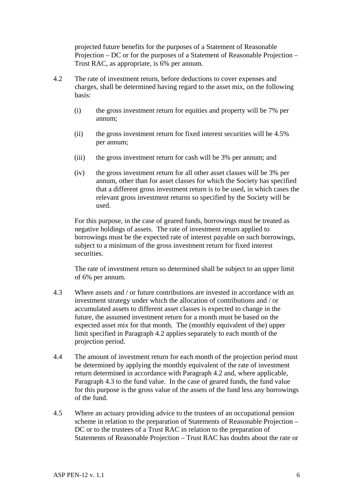projected future benefits for the purposes of a Statement of Reasonable Projection – DC or for the purposes of a Statement of Reasonable Projection – Trust RAC, as appropriate, is 6% per annum.

- 4.2 The rate of investment return, before deductions to cover expenses and charges, shall be determined having regard to the asset mix, on the following basis:
	- (i) the gross investment return for equities and property will be 7% per annum;
	- (ii) the gross investment return for fixed interest securities will be 4.5% per annum;
	- (iii) the gross investment return for cash will be 3% per annum; and
	- (iv) the gross investment return for all other asset classes will be 3% per annum, other than for asset classes for which the Society has specified that a different gross investment return is to be used, in which cases the relevant gross investment returns so specified by the Society will be used.

 For this purpose, in the case of geared funds, borrowings must be treated as negative holdings of assets. The rate of investment return applied to borrowings must be the expected rate of interest payable on such borrowings, subject to a minimum of the gross investment return for fixed interest securities.

 The rate of investment return so determined shall be subject to an upper limit of 6% per annum.

- 4.3 Where assets and / or future contributions are invested in accordance with an investment strategy under which the allocation of contributions and / or accumulated assets to different asset classes is expected to change in the future, the assumed investment return for a month must be based on the expected asset mix for that month. The (monthly equivalent of the) upper limit specified in Paragraph 4.2 applies separately to each month of the projection period.
- 4.4 The amount of investment return for each month of the projection period must be determined by applying the monthly equivalent of the rate of investment return determined in accordance with Paragraph 4.2 and, where applicable, Paragraph 4.3 to the fund value. In the case of geared funds, the fund value for this purpose is the gross value of the assets of the fund less any borrowings of the fund.
- 4.5 Where an actuary providing advice to the trustees of an occupational pension scheme in relation to the preparation of Statements of Reasonable Projection – DC or to the trustees of a Trust RAC in relation to the preparation of Statements of Reasonable Projection – Trust RAC has doubts about the rate or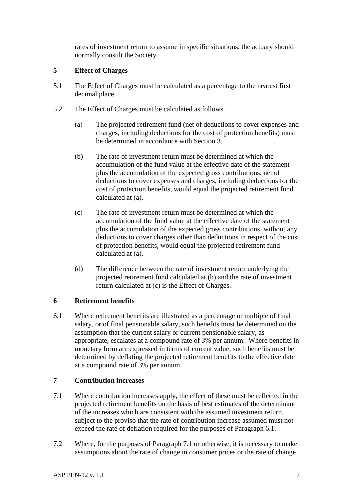rates of investment return to assume in specific situations, the actuary should normally consult the Society.

### **5 Effect of Charges**

- 5.1 The Effect of Charges must be calculated as a percentage to the nearest first decimal place.
- 5.2 The Effect of Charges must be calculated as follows.
	- (a) The projected retirement fund (net of deductions to cover expenses and charges, including deductions for the cost of protection benefits) must be determined in accordance with Section 3.
	- (b) The rate of investment return must be determined at which the accumulation of the fund value at the effective date of the statement plus the accumulation of the expected gross contributions, net of deductions to cover expenses and charges, including deductions for the cost of protection benefits, would equal the projected retirement fund calculated at (a).
	- (c) The rate of investment return must be determined at which the accumulation of the fund value at the effective date of the statement plus the accumulation of the expected gross contributions, without any deductions to cover charges other than deductions in respect of the cost of protection benefits, would equal the projected retirement fund calculated at (a).
	- (d) The difference between the rate of investment return underlying the projected retirement fund calculated at (b) and the rate of investment return calculated at (c) is the Effect of Charges.

### **6 Retirement benefits**

6.1 Where retirement benefits are illustrated as a percentage or multiple of final salary, or of final pensionable salary, such benefits must be determined on the assumption that the current salary or current pensionable salary, as appropriate, escalates at a compound rate of 3% per annum. Where benefits in monetary form are expressed in terms of current value, such benefits must be determined by deflating the projected retirement benefits to the effective date at a compound rate of 3% per annum.

### **7 Contribution increases**

- 7.1 Where contribution increases apply, the effect of these must be reflected in the projected retirement benefits on the basis of best estimates of the determinant of the increases which are consistent with the assumed investment return, subject to the proviso that the rate of contribution increase assumed must not exceed the rate of deflation required for the purposes of Paragraph 6.1.
- 7.2 Where, for the purposes of Paragraph 7.1 or otherwise, it is necessary to make assumptions about the rate of change in consumer prices or the rate of change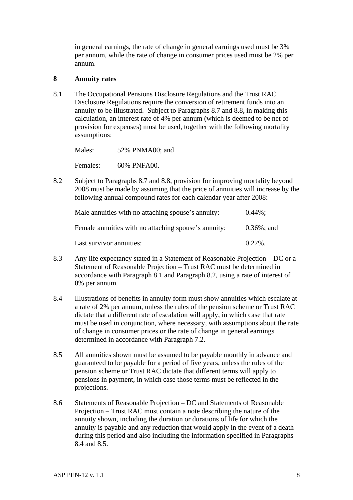in general earnings, the rate of change in general earnings used must be 3% per annum, while the rate of change in consumer prices used must be 2% per annum.

#### **8 Annuity rates**

8.1 The Occupational Pensions Disclosure Regulations and the Trust RAC Disclosure Regulations require the conversion of retirement funds into an annuity to be illustrated. Subject to Paragraphs 8.7 and 8.8, in making this calculation, an interest rate of 4% per annum (which is deemed to be net of provision for expenses) must be used, together with the following mortality assumptions:

Males: 52% PNMA00; and

Females: 60% PNFA00.

8.2 Subject to Paragraphs 8.7 and 8.8, provision for improving mortality beyond 2008 must be made by assuming that the price of annuities will increase by the following annual compound rates for each calendar year after 2008:

| Male annuities with no attaching spouse's annuity:   | $0.44\%$ :     |
|------------------------------------------------------|----------------|
| Female annuities with no attaching spouse's annuity: | $0.36\%$ ; and |
| Last survivor annuities:                             | $0.27\%$ .     |

- 8.3 Any life expectancy stated in a Statement of Reasonable Projection DC or a Statement of Reasonable Projection – Trust RAC must be determined in accordance with Paragraph 8.1 and Paragraph 8.2, using a rate of interest of 0% per annum.
- 8.4 Illustrations of benefits in annuity form must show annuities which escalate at a rate of 2% per annum, unless the rules of the pension scheme or Trust RAC dictate that a different rate of escalation will apply, in which case that rate must be used in conjunction, where necessary, with assumptions about the rate of change in consumer prices or the rate of change in general earnings determined in accordance with Paragraph 7.2.
- 8.5 All annuities shown must be assumed to be payable monthly in advance and guaranteed to be payable for a period of five years, unless the rules of the pension scheme or Trust RAC dictate that different terms will apply to pensions in payment, in which case those terms must be reflected in the projections.
- 8.6 Statements of Reasonable Projection DC and Statements of Reasonable Projection – Trust RAC must contain a note describing the nature of the annuity shown, including the duration or durations of life for which the annuity is payable and any reduction that would apply in the event of a death during this period and also including the information specified in Paragraphs 8.4 and 8.5.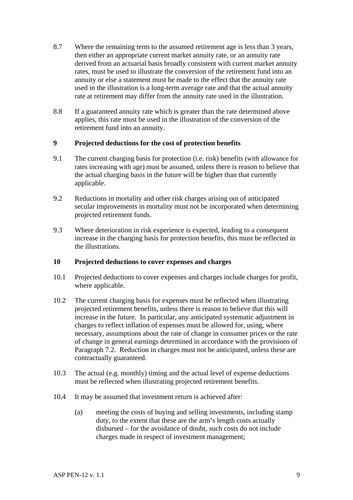- 8.7 Where the remaining term to the assumed retirement age is less than 3 years, then either an appropriate current market annuity rate, or an annuity rate derived from an actuarial basis broadly consistent with current market annuity rates, must be used to illustrate the conversion of the retirement fund into an annuity or else a statement must be made to the effect that the annuity rate used in the illustration is a long-term average rate and that the actual annuity rate at retirement may differ from the annuity rate used in the illustration.
- 8.8 If a guaranteed annuity rate which is greater than the rate determined above applies, this rate must be used in the illustration of the conversion of the retirement fund into an annuity.

### **9 Projected deductions for the cost of protection benefits**

- 9.1 The current charging basis for protection (i.e. risk) benefits (with allowance for rates increasing with age) must be assumed, unless there is reason to believe that the actual charging basis in the future will be higher than that currently applicable.
- 9.2 Reductions in mortality and other risk charges arising out of anticipated secular improvements in mortality must not be incorporated when determining projected retirement funds.
- 9.3 Where deterioration in risk experience is expected, leading to a consequent increase in the charging basis for protection benefits, this must be reflected in the illustrations.

### **10 Projected deductions to cover expenses and charges**

- 10.1 Projected deductions to cover expenses and charges include charges for profit, where applicable.
- 10.2 The current charging basis for expenses must be reflected when illustrating projected retirement benefits, unless there is reason to believe that this will increase in the future. In particular, any anticipated systematic adjustment in charges to reflect inflation of expenses must be allowed for, using, where necessary, assumptions about the rate of change in consumer prices or the rate of change in general earnings determined in accordance with the provisions of Paragraph 7.2. Reduction in charges must not be anticipated, unless these are contractually guaranteed.
- 10.3 The actual (e.g. monthly) timing and the actual level of expense deductions must be reflected when illustrating projected retirement benefits.
- 10.4 It may be assumed that investment return is achieved after:
	- (a) meeting the costs of buying and selling investments, including stamp duty, to the extent that these are the arm's length costs actually disbursed – for the avoidance of doubt, such costs do not include charges made in respect of investment management;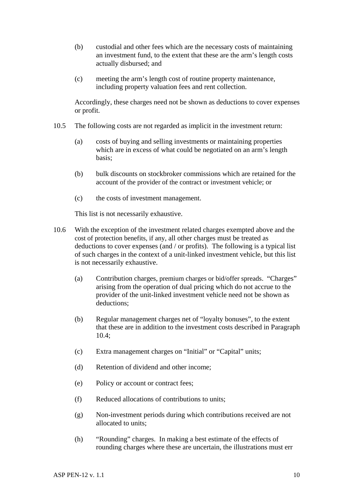- (b) custodial and other fees which are the necessary costs of maintaining an investment fund, to the extent that these are the arm's length costs actually disbursed; and
- (c) meeting the arm's length cost of routine property maintenance, including property valuation fees and rent collection.

 Accordingly, these charges need not be shown as deductions to cover expenses or profit.

- 10.5 The following costs are not regarded as implicit in the investment return:
	- (a) costs of buying and selling investments or maintaining properties which are in excess of what could be negotiated on an arm's length basis;
	- (b) bulk discounts on stockbroker commissions which are retained for the account of the provider of the contract or investment vehicle; or
	- (c) the costs of investment management.

This list is not necessarily exhaustive.

- 10.6 With the exception of the investment related charges exempted above and the cost of protection benefits, if any, all other charges must be treated as deductions to cover expenses (and / or profits). The following is a typical list of such charges in the context of a unit-linked investment vehicle, but this list is not necessarily exhaustive.
	- (a) Contribution charges, premium charges or bid/offer spreads. "Charges" arising from the operation of dual pricing which do not accrue to the provider of the unit-linked investment vehicle need not be shown as deductions;
	- (b) Regular management charges net of "loyalty bonuses", to the extent that these are in addition to the investment costs described in Paragraph 10.4;
	- (c) Extra management charges on "Initial" or "Capital" units;
	- (d) Retention of dividend and other income;
	- (e) Policy or account or contract fees;
	- (f) Reduced allocations of contributions to units;
	- (g) Non-investment periods during which contributions received are not allocated to units;
	- (h) "Rounding" charges. In making a best estimate of the effects of rounding charges where these are uncertain, the illustrations must err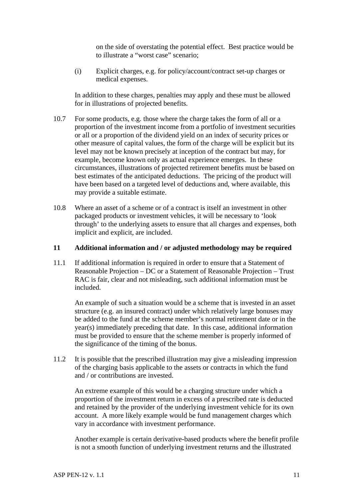on the side of overstating the potential effect. Best practice would be to illustrate a "worst case" scenario;

 (i) Explicit charges, e.g. for policy/account/contract set-up charges or medical expenses.

 In addition to these charges, penalties may apply and these must be allowed for in illustrations of projected benefits.

- 10.7 For some products, e.g. those where the charge takes the form of all or a proportion of the investment income from a portfolio of investment securities or all or a proportion of the dividend yield on an index of security prices or other measure of capital values, the form of the charge will be explicit but its level may not be known precisely at inception of the contract but may, for example, become known only as actual experience emerges. In these circumstances, illustrations of projected retirement benefits must be based on best estimates of the anticipated deductions. The pricing of the product will have been based on a targeted level of deductions and, where available, this may provide a suitable estimate.
- 10.8 Where an asset of a scheme or of a contract is itself an investment in other packaged products or investment vehicles, it will be necessary to 'look through' to the underlying assets to ensure that all charges and expenses, both implicit and explicit, are included.

#### **11 Additional information and / or adjusted methodology may be required**

11.1 If additional information is required in order to ensure that a Statement of Reasonable Projection – DC or a Statement of Reasonable Projection – Trust RAC is fair, clear and not misleading, such additional information must be included.

 An example of such a situation would be a scheme that is invested in an asset structure (e.g. an insured contract) under which relatively large bonuses may be added to the fund at the scheme member's normal retirement date or in the year(s) immediately preceding that date. In this case, additional information must be provided to ensure that the scheme member is properly informed of the significance of the timing of the bonus.

11.2 It is possible that the prescribed illustration may give a misleading impression of the charging basis applicable to the assets or contracts in which the fund and / or contributions are invested.

 An extreme example of this would be a charging structure under which a proportion of the investment return in excess of a prescribed rate is deducted and retained by the provider of the underlying investment vehicle for its own account. A more likely example would be fund management charges which vary in accordance with investment performance.

 Another example is certain derivative-based products where the benefit profile is not a smooth function of underlying investment returns and the illustrated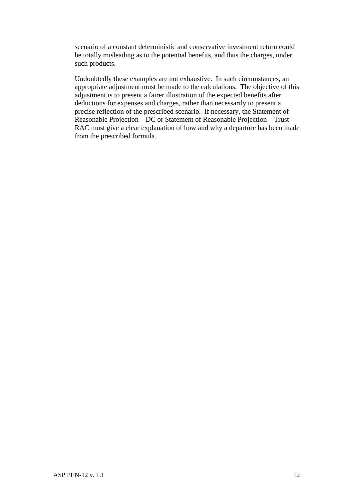scenario of a constant deterministic and conservative investment return could be totally misleading as to the potential benefits, and thus the charges, under such products.

 Undoubtedly these examples are not exhaustive. In such circumstances, an appropriate adjustment must be made to the calculations. The objective of this adjustment is to present a fairer illustration of the expected benefits after deductions for expenses and charges, rather than necessarily to present a precise reflection of the prescribed scenario. If necessary, the Statement of Reasonable Projection – DC or Statement of Reasonable Projection – Trust RAC must give a clear explanation of how and why a departure has been made from the prescribed formula.